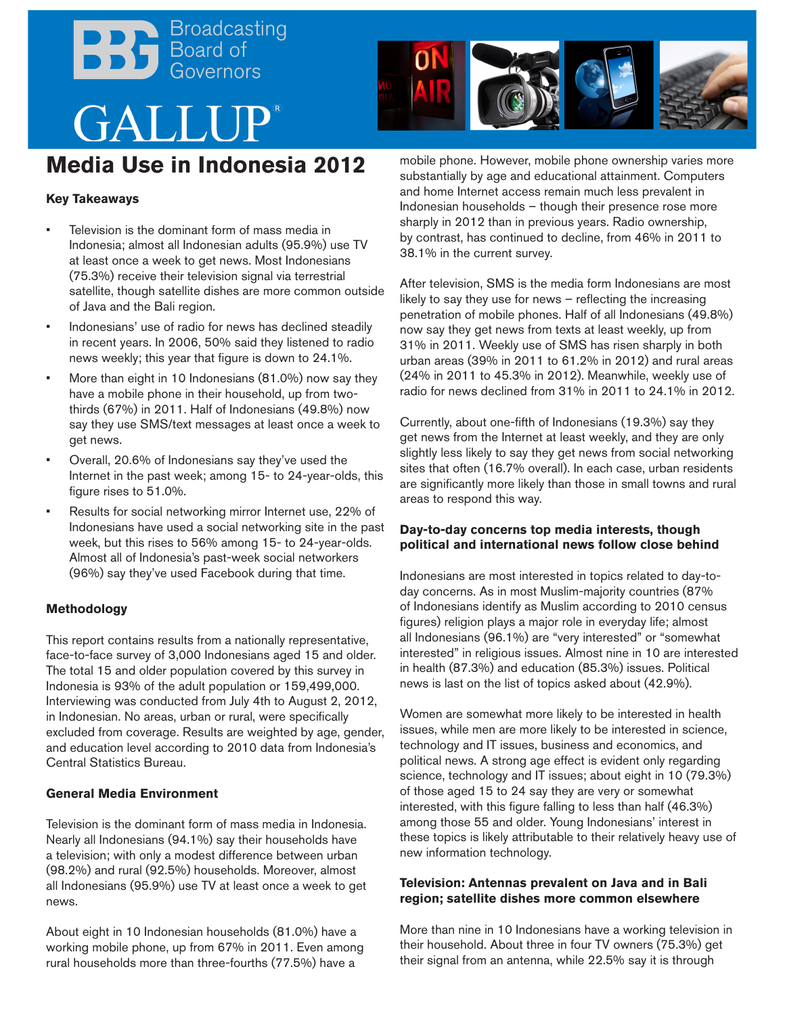# Broadcasting<br>Board of<br>Governors GALLUP **Media Use in Indonesia 2012**



## **Key Takeaways**

- Television is the dominant form of mass media in Indonesia; almost all Indonesian adults (95.9%) use TV at least once a week to get news. Most Indonesians (75.3%) receive their television signal via terrestrial satellite, though satellite dishes are more common outside of Java and the Bali region.
- Indonesians' use of radio for news has declined steadily in recent years. In 2006, 50% said they listened to radio news weekly; this year that figure is down to 24.1%.
- More than eight in 10 Indonesians  $(81.0\%)$  now say they have a mobile phone in their household, up from twothirds (67%) in 2011. Half of Indonesians (49.8%) now say they use SMS/text messages at least once a week to get news.
- Overall, 20.6% of Indonesians say they've used the Internet in the past week; among 15- to 24-year-olds, this figure rises to 51.0%.
- Results for social networking mirror Internet use, 22% of Indonesians have used a social networking site in the past week, but this rises to 56% among 15- to 24-year-olds. Almost all of Indonesia's past-week social networkers (96%) say they've used Facebook during that time.

#### **Methodology**

This report contains results from a nationally representative, face-to-face survey of 3,000 Indonesians aged 15 and older. The total 15 and older population covered by this survey in Indonesia is 93% of the adult population or 159,499,000. Interviewing was conducted from July 4th to August 2, 2012, in Indonesian. No areas, urban or rural, were specifically excluded from coverage. Results are weighted by age, gender, and education level according to 2010 data from Indonesia's Central Statistics Bureau.

#### **General Media Environment**

Television is the dominant form of mass media in Indonesia. Nearly all Indonesians (94.1%) say their households have a television; with only a modest difference between urban (98.2%) and rural (92.5%) households. Moreover, almost all Indonesians (95.9%) use TV at least once a week to get news.

About eight in 10 Indonesian households (81.0%) have a working mobile phone, up from 67% in 2011. Even among rural households more than three-fourths (77.5%) have a

mobile phone. However, mobile phone ownership varies more substantially by age and educational attainment. Computers and home Internet access remain much less prevalent in Indonesian households – though their presence rose more sharply in 2012 than in previous years. Radio ownership, by contrast, has continued to decline, from 46% in 2011 to 38.1% in the current survey.

After television, SMS is the media form Indonesians are most likely to say they use for news – reflecting the increasing penetration of mobile phones. Half of all Indonesians (49.8%) now say they get news from texts at least weekly, up from 31% in 2011. Weekly use of SMS has risen sharply in both urban areas (39% in 2011 to 61.2% in 2012) and rural areas (24% in 2011 to 45.3% in 2012). Meanwhile, weekly use of radio for news declined from 31% in 2011 to 24.1% in 2012.

Currently, about one-fifth of Indonesians (19.3%) say they get news from the Internet at least weekly, and they are only slightly less likely to say they get news from social networking sites that often (16.7% overall). In each case, urban residents are significantly more likely than those in small towns and rural areas to respond this way.

#### **Day-to-day concerns top media interests, though political and international news follow close behind**

Indonesians are most interested in topics related to day-today concerns. As in most Muslim-majority countries (87% of Indonesians identify as Muslim according to 2010 census figures) religion plays a major role in everyday life; almost all Indonesians (96.1%) are "very interested" or "somewhat interested" in religious issues. Almost nine in 10 are interested in health (87.3%) and education (85.3%) issues. Political news is last on the list of topics asked about (42.9%).

Women are somewhat more likely to be interested in health issues, while men are more likely to be interested in science, technology and IT issues, business and economics, and political news. A strong age effect is evident only regarding science, technology and IT issues; about eight in 10 (79.3%) of those aged 15 to 24 say they are very or somewhat interested, with this figure falling to less than half (46.3%) among those 55 and older. Young Indonesians' interest in these topics is likely attributable to their relatively heavy use of new information technology.

### **Television: Antennas prevalent on Java and in Bali region; satellite dishes more common elsewhere**

More than nine in 10 Indonesians have a working television in their household. About three in four TV owners (75.3%) get their signal from an antenna, while 22.5% say it is through